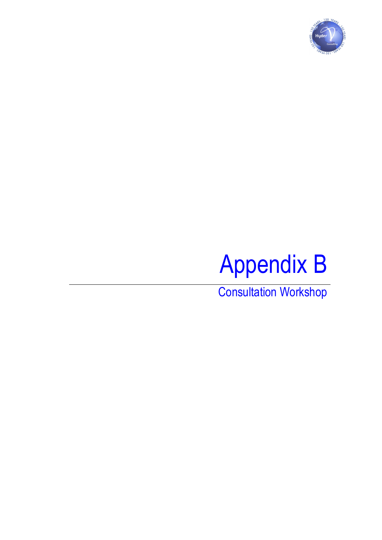



Consultation Workshop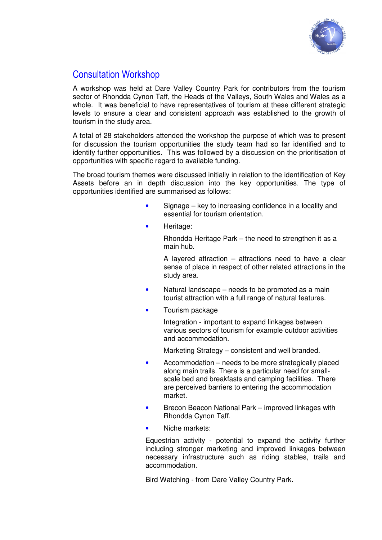

## Consultation Workshop

A workshop was held at Dare Valley Country Park for contributors from the tourism sector of Rhondda Cynon Taff, the Heads of the Valleys, South Wales and Wales as a whole. It was beneficial to have representatives of tourism at these different strategic levels to ensure a clear and consistent approach was established to the growth of tourism in the study area.

A total of 28 stakeholders attended the workshop the purpose of which was to present for discussion the tourism opportunities the study team had so far identified and to identify further opportunities. This was followed by a discussion on the prioritisation of opportunities with specific regard to available funding.

The broad tourism themes were discussed initially in relation to the identification of Key Assets before an in depth discussion into the key opportunities. The type of opportunities identified are summarised as follows:

- Signage key to increasing confidence in a locality and essential for tourism orientation.
- Heritage:

Rhondda Heritage Park – the need to strengthen it as a main hub.

A layered attraction – attractions need to have a clear sense of place in respect of other related attractions in the study area.

- Natural landscape needs to be promoted as a main tourist attraction with a full range of natural features.
- Tourism package

Integration - important to expand linkages between various sectors of tourism for example outdoor activities and accommodation.

Marketing Strategy – consistent and well branded.

- Accommodation needs to be more strategically placed along main trails. There is a particular need for smallscale bed and breakfasts and camping facilities. There are perceived barriers to entering the accommodation market.
- Brecon Beacon National Park improved linkages with Rhondda Cynon Taff.
- Niche markets:

Equestrian activity - potential to expand the activity further including stronger marketing and improved linkages between necessary infrastructure such as riding stables, trails and accommodation.

Bird Watching - from Dare Valley Country Park.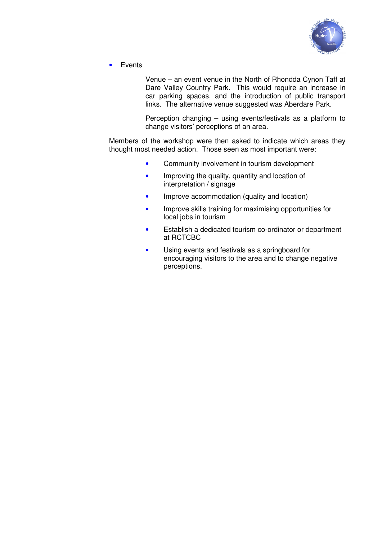

• Events

Venue – an event venue in the North of Rhondda Cynon Taff at Dare Valley Country Park. This would require an increase in car parking spaces, and the introduction of public transport links. The alternative venue suggested was Aberdare Park.

Perception changing – using events/festivals as a platform to change visitors' perceptions of an area.

Members of the workshop were then asked to indicate which areas they thought most needed action. Those seen as most important were:

- Community involvement in tourism development
- Improving the quality, quantity and location of interpretation / signage
- Improve accommodation (quality and location)
- Improve skills training for maximising opportunities for local jobs in tourism
- Establish a dedicated tourism co-ordinator or department at RCTCBC
- Using events and festivals as a springboard for encouraging visitors to the area and to change negative perceptions.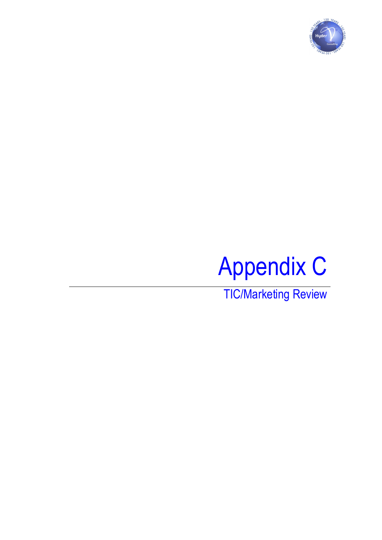



TIC/Marketing Review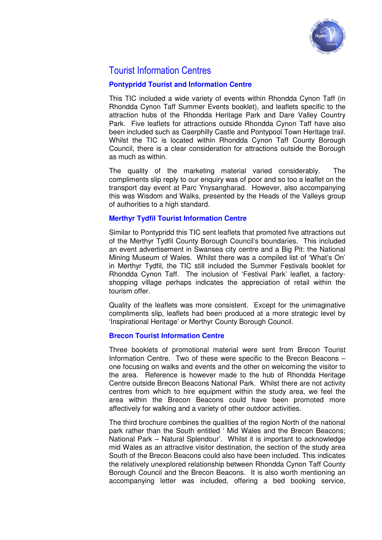

## Tourist Information Centres

### **Pontypridd Tourist and Information Centre**

This TIC included a wide variety of events within Rhondda Cynon Taff (in Rhondda Cynon Taff Summer Events booklet), and leaflets specific to the attraction hubs of the Rhondda Heritage Park and Dare Valley Country Park. Five leaflets for attractions outside Rhondda Cynon Taff have also been included such as Caerphilly Castle and Pontypool Town Heritage trail. Whilst the TIC is located within Rhondda Cynon Taff County Borough Council, there is a clear consideration for attractions outside the Borough as much as within.

The quality of the marketing material varied considerably. The compliments slip reply to our enquiry was of poor and so too a leaflet on the transport day event at Parc Ynysangharad. However, also accompanying this was Wisdom and Walks, presented by the Heads of the Valleys group of authorities to a high standard.

#### **Merthyr Tydfil Tourist Information Centre**

Similar to Pontypridd this TIC sent leaflets that promoted five attractions out of the Merthyr Tydfil County Borough Council's boundaries. This included an event advertisement in Swansea city centre and a Big Pit: the National Mining Museum of Wales. Whilst there was a compiled list of 'What's On' in Merthyr Tydfil, the TIC still included the Summer Festivals booklet for Rhondda Cynon Taff. The inclusion of 'Festival Park' leaflet, a factoryshopping village perhaps indicates the appreciation of retail within the tourism offer.

Quality of the leaflets was more consistent. Except for the unimaginative compliments slip, leaflets had been produced at a more strategic level by 'Inspirational Heritage' or Merthyr County Borough Council.

#### **Brecon Tourist Information Centre**

Three booklets of promotional material were sent from Brecon Tourist Information Centre. Two of these were specific to the Brecon Beacons – one focusing on walks and events and the other on welcoming the visitor to the area. Reference is however made to the hub of Rhondda Heritage Centre outside Brecon Beacons National Park. Whilst there are not activity centres from which to hire equipment within the study area, we feel the area within the Brecon Beacons could have been promoted more affectively for walking and a variety of other outdoor activities.

The third brochure combines the qualities of the region North of the national park rather than the South entitled ' Mid Wales and the Brecon Beacons; National Park – Natural Splendour'. Whilst it is important to acknowledge mid Wales as an attractive visitor destination, the section of the study area South of the Brecon Beacons could also have been included. This indicates the relatively unexplored relationship between Rhondda Cynon Taff County Borough Council and the Brecon Beacons. It is also worth mentioning an accompanying letter was included, offering a bed booking service,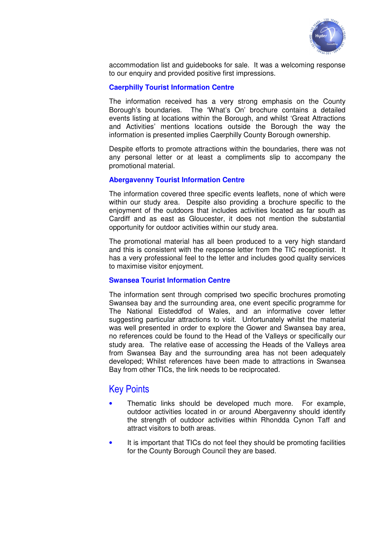

accommodation list and guidebooks for sale. It was a welcoming response to our enquiry and provided positive first impressions.

#### **Caerphilly Tourist Information Centre**

The information received has a very strong emphasis on the County Borough's boundaries. The 'What's On' brochure contains a detailed events listing at locations within the Borough, and whilst 'Great Attractions and Activities' mentions locations outside the Borough the way the information is presented implies Caerphilly County Borough ownership.

Despite efforts to promote attractions within the boundaries, there was not any personal letter or at least a compliments slip to accompany the promotional material.

#### **Abergavenny Tourist Information Centre**

The information covered three specific events leaflets, none of which were within our study area. Despite also providing a brochure specific to the enjoyment of the outdoors that includes activities located as far south as Cardiff and as east as Gloucester, it does not mention the substantial opportunity for outdoor activities within our study area.

The promotional material has all been produced to a very high standard and this is consistent with the response letter from the TIC receptionist. It has a very professional feel to the letter and includes good quality services to maximise visitor enjoyment.

#### **Swansea Tourist Information Centre**

The information sent through comprised two specific brochures promoting Swansea bay and the surrounding area, one event specific programme for The National Eisteddfod of Wales, and an informative cover letter suggesting particular attractions to visit. Unfortunately whilst the material was well presented in order to explore the Gower and Swansea bay area, no references could be found to the Head of the Valleys or specifically our study area. The relative ease of accessing the Heads of the Valleys area from Swansea Bay and the surrounding area has not been adequately developed; Whilst references have been made to attractions in Swansea Bay from other TICs, the link needs to be reciprocated.

## Key Points

- Thematic links should be developed much more. For example, outdoor activities located in or around Abergavenny should identify the strength of outdoor activities within Rhondda Cynon Taff and attract visitors to both areas.
- It is important that TICs do not feel they should be promoting facilities for the County Borough Council they are based.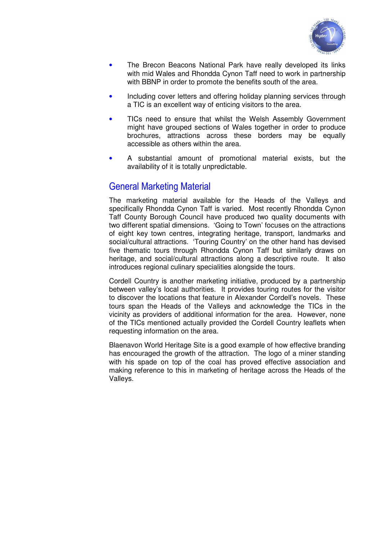

- The Brecon Beacons National Park have really developed its links with mid Wales and Rhondda Cynon Taff need to work in partnership with BBNP in order to promote the benefits south of the area.
- Including cover letters and offering holiday planning services through a TIC is an excellent way of enticing visitors to the area.
- TICs need to ensure that whilst the Welsh Assembly Government might have grouped sections of Wales together in order to produce brochures, attractions across these borders may be equally accessible as others within the area.
- A substantial amount of promotional material exists, but the availability of it is totally unpredictable.

## General Marketing Material

The marketing material available for the Heads of the Valleys and specifically Rhondda Cynon Taff is varied. Most recently Rhondda Cynon Taff County Borough Council have produced two quality documents with two different spatial dimensions. 'Going to Town' focuses on the attractions of eight key town centres, integrating heritage, transport, landmarks and social/cultural attractions. 'Touring Country' on the other hand has devised five thematic tours through Rhondda Cynon Taff but similarly draws on heritage, and social/cultural attractions along a descriptive route. It also introduces regional culinary specialities alongside the tours.

Cordell Country is another marketing initiative, produced by a partnership between valley's local authorities. It provides touring routes for the visitor to discover the locations that feature in Alexander Cordell's novels. These tours span the Heads of the Valleys and acknowledge the TICs in the vicinity as providers of additional information for the area. However, none of the TICs mentioned actually provided the Cordell Country leaflets when requesting information on the area.

Blaenavon World Heritage Site is a good example of how effective branding has encouraged the growth of the attraction. The logo of a miner standing with his spade on top of the coal has proved effective association and making reference to this in marketing of heritage across the Heads of the Valleys.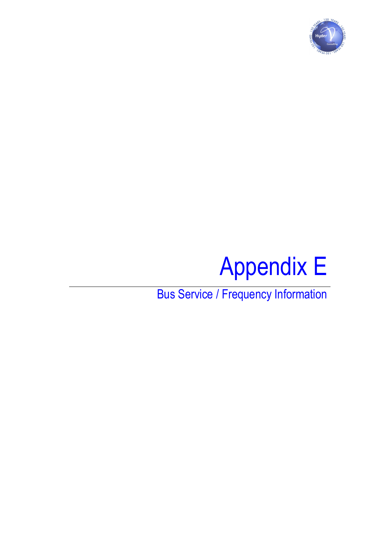

# Appendix E

Bus Service / Frequency Information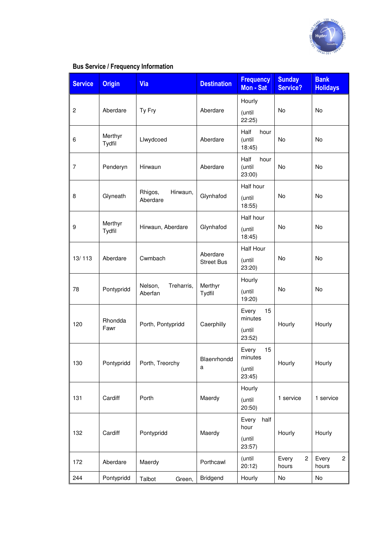

#### Service Origin Via Via Destination Frequency Mon - Sat **Sunday** Service? **Bank Holidays** 2 Aberdare Ty Fry Aberdare Hourly (until 22:25) No No 6 Merthyr<br>Tydfil Llwydcoed **Aberdare** Half hour (until 18:45) No No 7 Penderyn Hirwaun Aberdare Half hour (until 23:00) No No 8 Glyneath Rhigos, Hirwaun, Aberdare Filiwauri, Glynhafod Half hour (until 18:55) No No 9 Merthyr<br>Tydfil Hirwaun, Aberdare | Glynhafod Half hour (until 18:45) No No 13/113 Aberdare Cwmbach Aberdare Street Bus Half Hour (until 23:20) No No 78 Pontypridd Nelson, Treharris, Aberfan Merthyr Tydfil Hourly (until 19:20) No No 120 Rhondda Porth, Pontypridd | Caerphilly Every 15 minutes (until 23:52) Hourly Hourly 130 Pontypridd Porth, Treorchy Blaenrhondd a Every 15 minutes (until 23:45) Hourly | Hourly 131 | Cardiff | Porth | Maerdy Hourly (until 20:50) 1 service 1 service 132 | Cardiff | Pontypridd | Maerdy Every half hour (until 23:57) Hourly | Hourly 172 Aberdare Maerdy Porthcawl (until 20:12) Every 2 hours Every 2 hours 244 | Pontypridd | Talbot Green, | Bridgend | Hourly | No | No

### Bus Service / Frequency Information